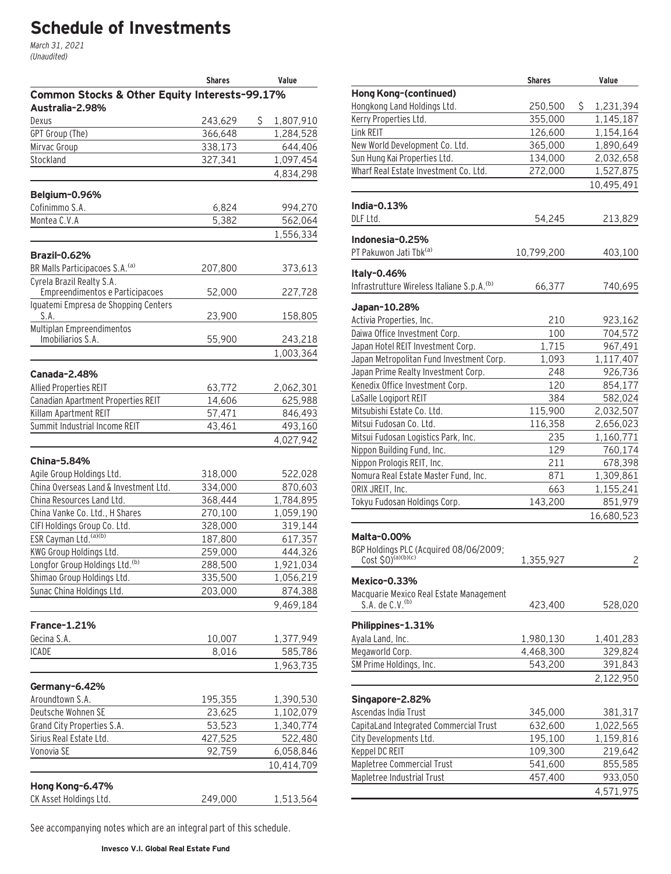# **Schedule of Investments**

March 31, 2021 (Unaudited)

|                                               | Shares          | Value           |
|-----------------------------------------------|-----------------|-----------------|
| Common Stocks & Other Equity Interests-99.17% |                 |                 |
| Australia-2.98%                               |                 |                 |
| Dexus                                         | 243,629         | \$<br>1,807,910 |
| GPT Group (The)                               | 366,648         | 1,284,528       |
| Mirvac Group                                  | 338,173         | 644,406         |
| Stockland                                     | 327,341         | 1,097,454       |
|                                               |                 | 4,834,298       |
| Belgium-0.96%                                 |                 |                 |
| Cofinimmo S.A.                                | 6,824           | 994,270         |
| Montea C.V.A                                  | 5,382           | 562,064         |
|                                               |                 | 1,556,334       |
|                                               |                 |                 |
| <b>Brazil-0.62%</b>                           |                 |                 |
| BR Malls Participacoes S.A. <sup>(a)</sup>    | 207,800         | 373,613         |
| Cyrela Brazil Realty S.A.                     |                 |                 |
| Empreendimentos e Participacoes               | 52,000          | 227,728         |
| Iguatemi Empresa de Shopping Centers          |                 |                 |
| S.A.<br>Multiplan Empreendimentos             | 23,900          | 158,805         |
| Imobiliarios S.A.                             | 55,900          | 243,218         |
|                                               |                 | 1,003,364       |
|                                               |                 |                 |
| Canada-2.48%                                  |                 |                 |
| <b>Allied Properties REIT</b>                 | 63,772          | 2,062,301       |
| Canadian Apartment Properties REIT            | 14,606          | 625,988         |
| Killam Apartment REIT                         | 57,471          | 846,493         |
| Summit Industrial Income REIT                 | 43,461          | 493,160         |
|                                               |                 | 4,027,942       |
| <b>China-5.84%</b>                            |                 |                 |
| Agile Group Holdings Ltd.                     | 318,000         | 522,028         |
| China Overseas Land & Investment Ltd.         | 334,000         | 870,603         |
| China Resources Land Ltd.                     | 368,444         | 1,784,895       |
| China Vanke Co. Ltd., H Shares                | 270,100         | 1,059,190       |
| CIFI Holdings Group Co. Ltd.                  | 328,000         | 319, 144        |
| ESR Cayman Ltd. (a)(b)                        | 187,800         | 617,357         |
| KWG Group Holdings Ltd.                       | 259,000         | 444,326         |
| Longfor Group Holdings Ltd. <sup>(b)</sup>    | 288,500         | 1,921,034       |
| Shimao Group Holdings Ltd.                    | 335,500         | 1,056,219       |
| Sunac China Holdings Ltd.                     | 203,000         | 874,388         |
|                                               |                 | 9,469,184       |
| France-1.21%                                  |                 |                 |
| Gecina S.A.                                   |                 | 1,377,949       |
| <b>ICADE</b>                                  | 10,007<br>8,016 |                 |
|                                               |                 | 585,786         |
|                                               |                 | 1,963,735       |
| Germany-6.42%                                 |                 |                 |
| Aroundtown S.A.                               | 195,355         | 1,390,530       |
| Deutsche Wohnen SE                            | 23,625          | 1,102,079       |
| Grand City Properties S.A.                    | 53,523          | 1,340,774       |
| Sirius Real Estate Ltd.                       | 427,525         | 522,480         |
| Vonovia SE                                    | 92,759          | 6,058,846       |
|                                               |                 | 10,414,709      |
|                                               |                 |                 |
| Hong Kong-6.47%                               |                 |                 |
| CK Asset Holdings Ltd.                        | 249,000         | 1,513,564       |

See accompanying notes which are an integral part of this schedule.

| Hong Kong-(continued)<br>250,500<br>\$<br>1,231,394<br>355,000<br>1,145,187<br>126,600<br>1,154,164<br>365,000<br>1,890,649<br>134,000<br>2,032,658<br>272,000<br>1,527,875<br>10,495,491<br>India-0.13%<br>54,245<br>213,829<br>Indonesia-0.25%<br>10,799,200<br>403,100<br>Italy-0.46%<br>Infrastrutture Wireless Italiane S.p.A. <sup>(b)</sup><br>66,377<br>740,695<br>210<br>923,162<br>100<br>704,572<br>1,715<br>967,491<br>1,093<br>1,117,407<br>Japan Prime Realty Investment Corp.<br>248<br>926,736<br>120<br>854,177<br>384<br>582,024<br>115,900<br>2,032,507<br>116,358<br>2,656,023<br>235<br>1,160,771<br>129<br>760,174<br>Nippon Prologis REIT, Inc.<br>211<br>678,398<br>Nomura Real Estate Master Fund, Inc.<br>871<br>1,309,861<br>663<br>1,155,241<br>Tokyu Fudosan Holdings Corp.<br>143,200<br>851,979<br>16,680,523<br>Cost $$0)^{(a)(b)(c)}$<br>2<br>1,355,927<br>Mexico-0.33%<br>Macquarie Mexico Real Estate Management<br>S.A. de C.V. (b)<br>423,400<br>528,020<br>Philippines-1.31%<br>Ayala Land, Inc.<br>1,980,130<br>1,401,283<br>Megaworld Corp.<br>329,824<br>4,468,300<br>SM Prime Holdings, Inc.<br>543,200<br>391,843<br>2,122,950<br>Singapore-2.82%<br>Ascendas India Trust<br>381,317<br>345,000<br>CapitaLand Integrated Commercial Trust<br>1,022,565<br>632,600<br>City Developments Ltd.<br>1,159,816<br>195,100<br>Keppel DC REIT<br>109,300<br>219,642<br>Mapletree Commercial Trust<br>541,600<br>855,585<br>Mapletree Industrial Trust<br>457,400<br>933,050 |                                          | <b>Shares</b> | Value     |
|----------------------------------------------------------------------------------------------------------------------------------------------------------------------------------------------------------------------------------------------------------------------------------------------------------------------------------------------------------------------------------------------------------------------------------------------------------------------------------------------------------------------------------------------------------------------------------------------------------------------------------------------------------------------------------------------------------------------------------------------------------------------------------------------------------------------------------------------------------------------------------------------------------------------------------------------------------------------------------------------------------------------------------------------------------------------------------------------------------------------------------------------------------------------------------------------------------------------------------------------------------------------------------------------------------------------------------------------------------------------------------------------------------------------------------------------------------------------------------------------------------------|------------------------------------------|---------------|-----------|
|                                                                                                                                                                                                                                                                                                                                                                                                                                                                                                                                                                                                                                                                                                                                                                                                                                                                                                                                                                                                                                                                                                                                                                                                                                                                                                                                                                                                                                                                                                                |                                          |               |           |
|                                                                                                                                                                                                                                                                                                                                                                                                                                                                                                                                                                                                                                                                                                                                                                                                                                                                                                                                                                                                                                                                                                                                                                                                                                                                                                                                                                                                                                                                                                                | Hongkong Land Holdings Ltd.              |               |           |
|                                                                                                                                                                                                                                                                                                                                                                                                                                                                                                                                                                                                                                                                                                                                                                                                                                                                                                                                                                                                                                                                                                                                                                                                                                                                                                                                                                                                                                                                                                                | Kerry Properties Ltd.                    |               |           |
|                                                                                                                                                                                                                                                                                                                                                                                                                                                                                                                                                                                                                                                                                                                                                                                                                                                                                                                                                                                                                                                                                                                                                                                                                                                                                                                                                                                                                                                                                                                | Link REIT                                |               |           |
|                                                                                                                                                                                                                                                                                                                                                                                                                                                                                                                                                                                                                                                                                                                                                                                                                                                                                                                                                                                                                                                                                                                                                                                                                                                                                                                                                                                                                                                                                                                | New World Development Co. Ltd.           |               |           |
|                                                                                                                                                                                                                                                                                                                                                                                                                                                                                                                                                                                                                                                                                                                                                                                                                                                                                                                                                                                                                                                                                                                                                                                                                                                                                                                                                                                                                                                                                                                | Sun Hung Kai Properties Ltd.             |               |           |
|                                                                                                                                                                                                                                                                                                                                                                                                                                                                                                                                                                                                                                                                                                                                                                                                                                                                                                                                                                                                                                                                                                                                                                                                                                                                                                                                                                                                                                                                                                                | Wharf Real Estate Investment Co. Ltd.    |               |           |
|                                                                                                                                                                                                                                                                                                                                                                                                                                                                                                                                                                                                                                                                                                                                                                                                                                                                                                                                                                                                                                                                                                                                                                                                                                                                                                                                                                                                                                                                                                                |                                          |               |           |
|                                                                                                                                                                                                                                                                                                                                                                                                                                                                                                                                                                                                                                                                                                                                                                                                                                                                                                                                                                                                                                                                                                                                                                                                                                                                                                                                                                                                                                                                                                                |                                          |               |           |
|                                                                                                                                                                                                                                                                                                                                                                                                                                                                                                                                                                                                                                                                                                                                                                                                                                                                                                                                                                                                                                                                                                                                                                                                                                                                                                                                                                                                                                                                                                                | DLF Ltd.                                 |               |           |
|                                                                                                                                                                                                                                                                                                                                                                                                                                                                                                                                                                                                                                                                                                                                                                                                                                                                                                                                                                                                                                                                                                                                                                                                                                                                                                                                                                                                                                                                                                                |                                          |               |           |
|                                                                                                                                                                                                                                                                                                                                                                                                                                                                                                                                                                                                                                                                                                                                                                                                                                                                                                                                                                                                                                                                                                                                                                                                                                                                                                                                                                                                                                                                                                                | PT Pakuwon Jati Tbk <sup>(a)</sup>       |               |           |
|                                                                                                                                                                                                                                                                                                                                                                                                                                                                                                                                                                                                                                                                                                                                                                                                                                                                                                                                                                                                                                                                                                                                                                                                                                                                                                                                                                                                                                                                                                                |                                          |               |           |
|                                                                                                                                                                                                                                                                                                                                                                                                                                                                                                                                                                                                                                                                                                                                                                                                                                                                                                                                                                                                                                                                                                                                                                                                                                                                                                                                                                                                                                                                                                                |                                          |               |           |
|                                                                                                                                                                                                                                                                                                                                                                                                                                                                                                                                                                                                                                                                                                                                                                                                                                                                                                                                                                                                                                                                                                                                                                                                                                                                                                                                                                                                                                                                                                                |                                          |               |           |
|                                                                                                                                                                                                                                                                                                                                                                                                                                                                                                                                                                                                                                                                                                                                                                                                                                                                                                                                                                                                                                                                                                                                                                                                                                                                                                                                                                                                                                                                                                                | Japan-10.28%                             |               |           |
|                                                                                                                                                                                                                                                                                                                                                                                                                                                                                                                                                                                                                                                                                                                                                                                                                                                                                                                                                                                                                                                                                                                                                                                                                                                                                                                                                                                                                                                                                                                | Activia Properties, Inc.                 |               |           |
|                                                                                                                                                                                                                                                                                                                                                                                                                                                                                                                                                                                                                                                                                                                                                                                                                                                                                                                                                                                                                                                                                                                                                                                                                                                                                                                                                                                                                                                                                                                | Daiwa Office Investment Corp.            |               |           |
|                                                                                                                                                                                                                                                                                                                                                                                                                                                                                                                                                                                                                                                                                                                                                                                                                                                                                                                                                                                                                                                                                                                                                                                                                                                                                                                                                                                                                                                                                                                | Japan Hotel REIT Investment Corp.        |               |           |
|                                                                                                                                                                                                                                                                                                                                                                                                                                                                                                                                                                                                                                                                                                                                                                                                                                                                                                                                                                                                                                                                                                                                                                                                                                                                                                                                                                                                                                                                                                                | Japan Metropolitan Fund Investment Corp. |               |           |
|                                                                                                                                                                                                                                                                                                                                                                                                                                                                                                                                                                                                                                                                                                                                                                                                                                                                                                                                                                                                                                                                                                                                                                                                                                                                                                                                                                                                                                                                                                                |                                          |               |           |
|                                                                                                                                                                                                                                                                                                                                                                                                                                                                                                                                                                                                                                                                                                                                                                                                                                                                                                                                                                                                                                                                                                                                                                                                                                                                                                                                                                                                                                                                                                                | Kenedix Office Investment Corp.          |               |           |
|                                                                                                                                                                                                                                                                                                                                                                                                                                                                                                                                                                                                                                                                                                                                                                                                                                                                                                                                                                                                                                                                                                                                                                                                                                                                                                                                                                                                                                                                                                                | LaSalle Logiport REIT                    |               |           |
|                                                                                                                                                                                                                                                                                                                                                                                                                                                                                                                                                                                                                                                                                                                                                                                                                                                                                                                                                                                                                                                                                                                                                                                                                                                                                                                                                                                                                                                                                                                | Mitsubishi Estate Co. Ltd.               |               |           |
|                                                                                                                                                                                                                                                                                                                                                                                                                                                                                                                                                                                                                                                                                                                                                                                                                                                                                                                                                                                                                                                                                                                                                                                                                                                                                                                                                                                                                                                                                                                | Mitsui Fudosan Co. Ltd.                  |               |           |
|                                                                                                                                                                                                                                                                                                                                                                                                                                                                                                                                                                                                                                                                                                                                                                                                                                                                                                                                                                                                                                                                                                                                                                                                                                                                                                                                                                                                                                                                                                                | Mitsui Fudosan Logistics Park, Inc.      |               |           |
|                                                                                                                                                                                                                                                                                                                                                                                                                                                                                                                                                                                                                                                                                                                                                                                                                                                                                                                                                                                                                                                                                                                                                                                                                                                                                                                                                                                                                                                                                                                | Nippon Building Fund, Inc.               |               |           |
|                                                                                                                                                                                                                                                                                                                                                                                                                                                                                                                                                                                                                                                                                                                                                                                                                                                                                                                                                                                                                                                                                                                                                                                                                                                                                                                                                                                                                                                                                                                |                                          |               |           |
|                                                                                                                                                                                                                                                                                                                                                                                                                                                                                                                                                                                                                                                                                                                                                                                                                                                                                                                                                                                                                                                                                                                                                                                                                                                                                                                                                                                                                                                                                                                |                                          |               |           |
|                                                                                                                                                                                                                                                                                                                                                                                                                                                                                                                                                                                                                                                                                                                                                                                                                                                                                                                                                                                                                                                                                                                                                                                                                                                                                                                                                                                                                                                                                                                | ORIX JREIT, Inc.                         |               |           |
|                                                                                                                                                                                                                                                                                                                                                                                                                                                                                                                                                                                                                                                                                                                                                                                                                                                                                                                                                                                                                                                                                                                                                                                                                                                                                                                                                                                                                                                                                                                |                                          |               |           |
|                                                                                                                                                                                                                                                                                                                                                                                                                                                                                                                                                                                                                                                                                                                                                                                                                                                                                                                                                                                                                                                                                                                                                                                                                                                                                                                                                                                                                                                                                                                |                                          |               |           |
|                                                                                                                                                                                                                                                                                                                                                                                                                                                                                                                                                                                                                                                                                                                                                                                                                                                                                                                                                                                                                                                                                                                                                                                                                                                                                                                                                                                                                                                                                                                | Malta-0.00%                              |               |           |
|                                                                                                                                                                                                                                                                                                                                                                                                                                                                                                                                                                                                                                                                                                                                                                                                                                                                                                                                                                                                                                                                                                                                                                                                                                                                                                                                                                                                                                                                                                                | BGP Holdings PLC (Acquired 08/06/2009;   |               |           |
|                                                                                                                                                                                                                                                                                                                                                                                                                                                                                                                                                                                                                                                                                                                                                                                                                                                                                                                                                                                                                                                                                                                                                                                                                                                                                                                                                                                                                                                                                                                |                                          |               |           |
|                                                                                                                                                                                                                                                                                                                                                                                                                                                                                                                                                                                                                                                                                                                                                                                                                                                                                                                                                                                                                                                                                                                                                                                                                                                                                                                                                                                                                                                                                                                |                                          |               |           |
|                                                                                                                                                                                                                                                                                                                                                                                                                                                                                                                                                                                                                                                                                                                                                                                                                                                                                                                                                                                                                                                                                                                                                                                                                                                                                                                                                                                                                                                                                                                |                                          |               |           |
|                                                                                                                                                                                                                                                                                                                                                                                                                                                                                                                                                                                                                                                                                                                                                                                                                                                                                                                                                                                                                                                                                                                                                                                                                                                                                                                                                                                                                                                                                                                |                                          |               |           |
|                                                                                                                                                                                                                                                                                                                                                                                                                                                                                                                                                                                                                                                                                                                                                                                                                                                                                                                                                                                                                                                                                                                                                                                                                                                                                                                                                                                                                                                                                                                |                                          |               |           |
|                                                                                                                                                                                                                                                                                                                                                                                                                                                                                                                                                                                                                                                                                                                                                                                                                                                                                                                                                                                                                                                                                                                                                                                                                                                                                                                                                                                                                                                                                                                |                                          |               |           |
|                                                                                                                                                                                                                                                                                                                                                                                                                                                                                                                                                                                                                                                                                                                                                                                                                                                                                                                                                                                                                                                                                                                                                                                                                                                                                                                                                                                                                                                                                                                |                                          |               |           |
|                                                                                                                                                                                                                                                                                                                                                                                                                                                                                                                                                                                                                                                                                                                                                                                                                                                                                                                                                                                                                                                                                                                                                                                                                                                                                                                                                                                                                                                                                                                |                                          |               |           |
|                                                                                                                                                                                                                                                                                                                                                                                                                                                                                                                                                                                                                                                                                                                                                                                                                                                                                                                                                                                                                                                                                                                                                                                                                                                                                                                                                                                                                                                                                                                |                                          |               |           |
|                                                                                                                                                                                                                                                                                                                                                                                                                                                                                                                                                                                                                                                                                                                                                                                                                                                                                                                                                                                                                                                                                                                                                                                                                                                                                                                                                                                                                                                                                                                |                                          |               |           |
|                                                                                                                                                                                                                                                                                                                                                                                                                                                                                                                                                                                                                                                                                                                                                                                                                                                                                                                                                                                                                                                                                                                                                                                                                                                                                                                                                                                                                                                                                                                |                                          |               |           |
|                                                                                                                                                                                                                                                                                                                                                                                                                                                                                                                                                                                                                                                                                                                                                                                                                                                                                                                                                                                                                                                                                                                                                                                                                                                                                                                                                                                                                                                                                                                |                                          |               |           |
|                                                                                                                                                                                                                                                                                                                                                                                                                                                                                                                                                                                                                                                                                                                                                                                                                                                                                                                                                                                                                                                                                                                                                                                                                                                                                                                                                                                                                                                                                                                |                                          |               |           |
|                                                                                                                                                                                                                                                                                                                                                                                                                                                                                                                                                                                                                                                                                                                                                                                                                                                                                                                                                                                                                                                                                                                                                                                                                                                                                                                                                                                                                                                                                                                |                                          |               |           |
|                                                                                                                                                                                                                                                                                                                                                                                                                                                                                                                                                                                                                                                                                                                                                                                                                                                                                                                                                                                                                                                                                                                                                                                                                                                                                                                                                                                                                                                                                                                |                                          |               |           |
|                                                                                                                                                                                                                                                                                                                                                                                                                                                                                                                                                                                                                                                                                                                                                                                                                                                                                                                                                                                                                                                                                                                                                                                                                                                                                                                                                                                                                                                                                                                |                                          |               |           |
|                                                                                                                                                                                                                                                                                                                                                                                                                                                                                                                                                                                                                                                                                                                                                                                                                                                                                                                                                                                                                                                                                                                                                                                                                                                                                                                                                                                                                                                                                                                |                                          |               | 4,571,975 |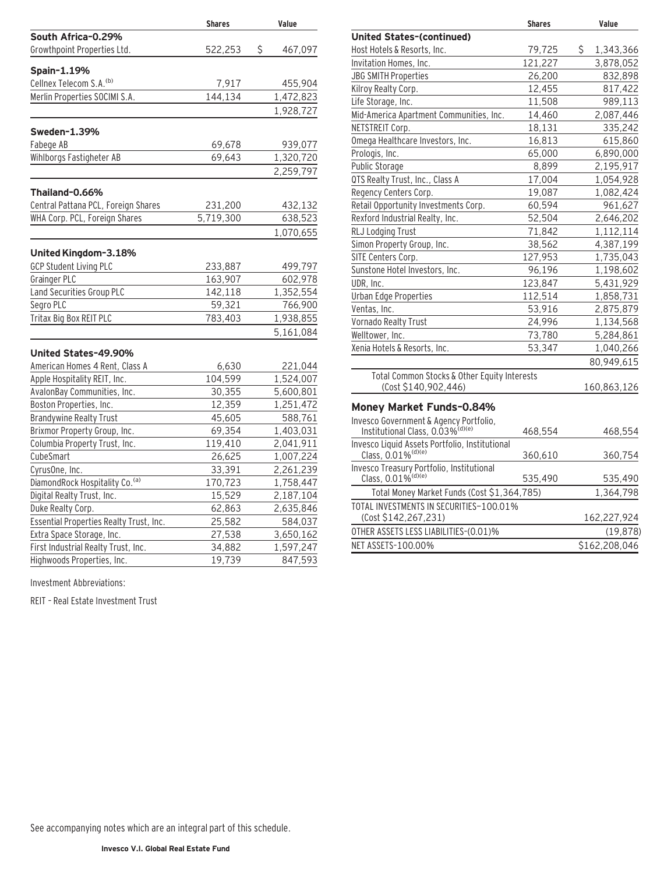|                                         | <b>Shares</b> | Value         |
|-----------------------------------------|---------------|---------------|
| South Africa-0.29%                      |               |               |
| Growthpoint Properties Ltd.             | 522,253       | \$<br>467,097 |
| Spain-1.19%                             |               |               |
| Cellnex Telecom S.A. <sup>(b)</sup>     | 7,917         | 455,904       |
| Merlin Properties SOCIMI S.A.           | 144,134       | 1,472,823     |
|                                         |               | 1,928,727     |
| Sweden-1.39%                            |               |               |
| Fabege AB                               | 69,678        | 939,077       |
| Wihlborgs Fastigheter AB                | 69,643        | 1,320,720     |
|                                         |               | 2,259,797     |
| Thailand-0.66%                          |               |               |
| Central Pattana PCL, Foreign Shares     | 231,200       | 432,132       |
| WHA Corp. PCL, Foreign Shares           | 5,719,300     | 638,523       |
|                                         |               | 1,070,655     |
| United Kingdom-3.18%                    |               |               |
| <b>GCP Student Living PLC</b>           | 233,887       | 499,797       |
| Grainger PLC                            | 163,907       | 602,978       |
| Land Securities Group PLC               | 142,118       | 1,352,554     |
| Segro PLC                               | 59,321        | 766,900       |
| Tritax Big Box REIT PLC                 | 783,403       | 1,938,855     |
|                                         |               | 5,161,084     |
| United States-49.90%                    |               |               |
| American Homes 4 Rent, Class A          | 6,630         | 221,044       |
| Apple Hospitality REIT, Inc.            | 104,599       | 1,524,007     |
| AvalonBay Communities, Inc.             | 30,355        | 5,600,801     |
| Boston Properties, Inc.                 | 12,359        | 1,251,472     |
| <b>Brandywine Realty Trust</b>          | 45,605        | 588,761       |
| Brixmor Property Group, Inc.            | 69,354        | 1,403,031     |
| Columbia Property Trust, Inc.           | 119,410       | 2,041,911     |
| CubeSmart                               | 26,625        | 1,007,224     |
| CyrusOne, Inc.                          | 33,391        | 2,261,239     |
| DiamondRock Hospitality Co. (a)         | 170,723       | 1,758,447     |
| Digital Realty Trust, Inc.              | 15,529        | 2,187,104     |
| Duke Realty Corp.                       | 62,863        | 2,635,846     |
| Essential Properties Realty Trust, Inc. | 25,582        | 584,037       |
| Extra Space Storage, Inc.               | 27,538        | 3,650,162     |
| First Industrial Realty Trust, Inc.     | 34,882        | 1,597,247     |
| Highwoods Properties, Inc.              | 19,739        | 847,593       |

Investment Abbreviations:

REIT – Real Estate Investment Trust

|                                              | <b>Shares</b> | Value           |
|----------------------------------------------|---------------|-----------------|
| <b>United States-(continued)</b>             |               |                 |
| Host Hotels & Resorts, Inc.                  | 79,725        | \$<br>1,343,366 |
| Invitation Homes, Inc.                       | 121,227       | 3,878,052       |
| <b>JBG SMITH Properties</b>                  | 26,200        | 832,898         |
| Kilroy Realty Corp.                          | 12,455        | 817,422         |
| Life Storage, Inc.                           | 11,508        | 989,113         |
| Mid-America Apartment Communities, Inc.      | 14,460        | 2,087,446       |
| NETSTREIT Corp.                              | 18,131        | 335,242         |
| Omega Healthcare Investors, Inc.             | 16,813        | 615,860         |
| Prologis, Inc.                               | 65,000        | 6,890,000       |
| <b>Public Storage</b>                        | 8,899         | 2,195,917       |
| QTS Realty Trust, Inc., Class A              | 17,004        | 1,054,928       |
| Regency Centers Corp.                        | 19,087        | 1,082,424       |
| Retail Opportunity Investments Corp.         | 60,594        | 961,627         |
| Rexford Industrial Realty, Inc.              | 52,504        | 2,646,202       |
| RLJ Lodging Trust                            | 71,842        | 1,112,114       |
| Simon Property Group, Inc.                   | 38,562        | 4,387,199       |
| SITE Centers Corp.                           | 127,953       | 1,735,043       |
| Sunstone Hotel Investors, Inc.               | 96,196        | 1,198,602       |
| UDR, Inc.                                    | 123,847       | 5,431,929       |
| Urban Edge Properties                        | 112,514       | 1,858,731       |
| Ventas, Inc.                                 | 53,916        | 2,875,879       |
| Vornado Realty Trust                         | 24,996        | 1,134,568       |
| Welltower, Inc.                              | 73,780        | 5,284,861       |
| Xenia Hotels & Resorts, Inc.                 | 53,347        | 1,040,266       |
|                                              |               | 80,949,615      |
| Total Common Stocks & Other Equity Interests |               |                 |

### **Money Market Funds–0.84%**

| Invesco Government & Agency Portfolio,<br>Institutional Class, 0.03% <sup>(d)(e)</sup> | 468,554   | 468,554       |
|----------------------------------------------------------------------------------------|-----------|---------------|
|                                                                                        |           |               |
| Invesco Liquid Assets Portfolio, Institutional<br>Class, 0.01% <sup>(d)(e)</sup>       | 360,610   | 360,754       |
|                                                                                        |           |               |
| Invesco Treasury Portfolio, Institutional<br>Class, 0.01% <sup>(d)(e)</sup>            | 535,490   | 535,490       |
| Total Money Market Funds (Cost \$1,364,785)                                            | 1,364,798 |               |
| TOTAL INVESTMENTS IN SECURITIES-100.01%                                                |           |               |
| (Cost \$142,267,231)                                                                   |           | 162,227,924   |
| OTHER ASSETS LESS LIABILITIES-(0.01)%                                                  |           | (19, 878)     |
| NET ASSETS-100.00%                                                                     |           | \$162,208,046 |
|                                                                                        |           |               |

(Cost \$140,902,446) 160,863,126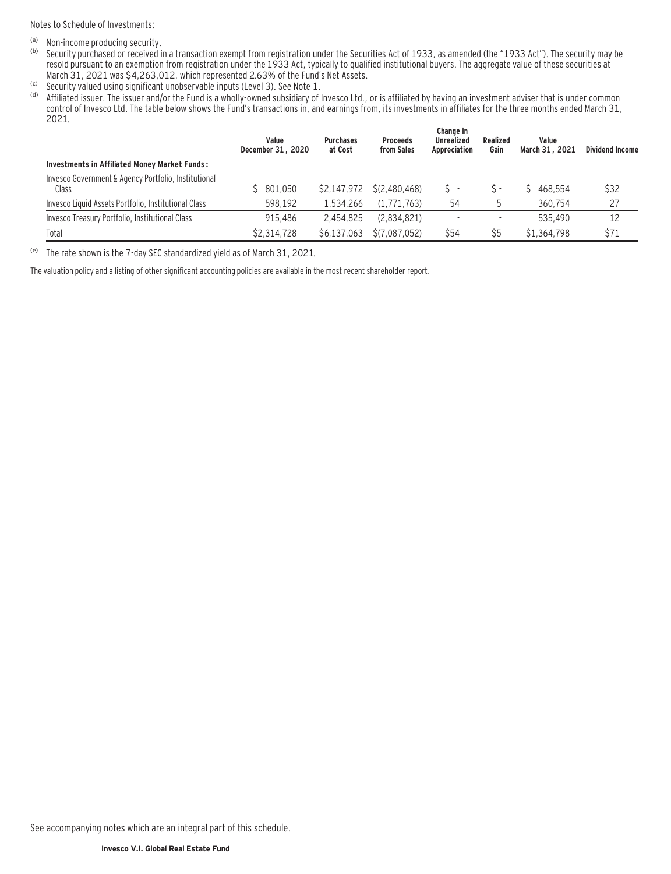Notes to Schedule of Investments:

- $\frac{1}{100}$  Non-income producing security.<br>(b) Security purchased or received in
- Security purchased or received in a transaction exempt from registration under the Securities Act of 1933, as amended (the "1933 Act"). The security may be resold pursuant to an exemption from registration under the 1933 Act, typically to qualified institutional buyers. The aggregate value of these securities at March 31, 2021 was \$4,263,012, which represented 2.63% of the Fund's Net Assets.
- <sup>(c)</sup> Security valued using significant unobservable inputs (Level 3). See Note 1.<br>(d) Affiliated issuer. The issuer and/or the Fund is a wholly-owned subsidiary of
- Affiliated issuer. The issuer and/or the Fund is a wholly-owned subsidiary of Invesco Ltd., or is affiliated by having an investment adviser that is under common control of Invesco Ltd. The table below shows the Fund's transactions in, and earnings from, its investments in affiliates for the three months ended March 31, 2021.

|                                                               | Value<br>December 31, 2020 | <b>Purchases</b><br>at Cost | <b>Proceeds</b><br>from Sales | Change in<br>Unrealized<br>Appreciation | Realized<br>Gain | Value<br>March 31, 2021 | Dividend Income |
|---------------------------------------------------------------|----------------------------|-----------------------------|-------------------------------|-----------------------------------------|------------------|-------------------------|-----------------|
| <b>Investments in Affiliated Money Market Funds:</b>          |                            |                             |                               |                                         |                  |                         |                 |
| Invesco Government & Agency Portfolio, Institutional<br>Class | 801.050                    | \$2,147,972                 | S(2.480.468)                  |                                         | S -              | 468.554                 | \$32            |
| Invesco Liquid Assets Portfolio, Institutional Class          | 598.192                    | 1.534.266                   | (1.771.763)                   | 54                                      |                  | 360.754                 | 27              |
| Invesco Treasury Portfolio, Institutional Class               | 915.486                    | 2.454.825                   | (2,834,821)                   |                                         |                  | 535.490                 | 12              |
| Total                                                         | \$2,314,728                | \$6.137.063                 | S(7.087.052)                  | \$54                                    | \$5              | \$1.364.798             | \$71            |

(e) The rate shown is the 7-day SEC standardized yield as of March 31, 2021.

The valuation policy and a listing of other significant accounting policies are available in the most recent shareholder report.